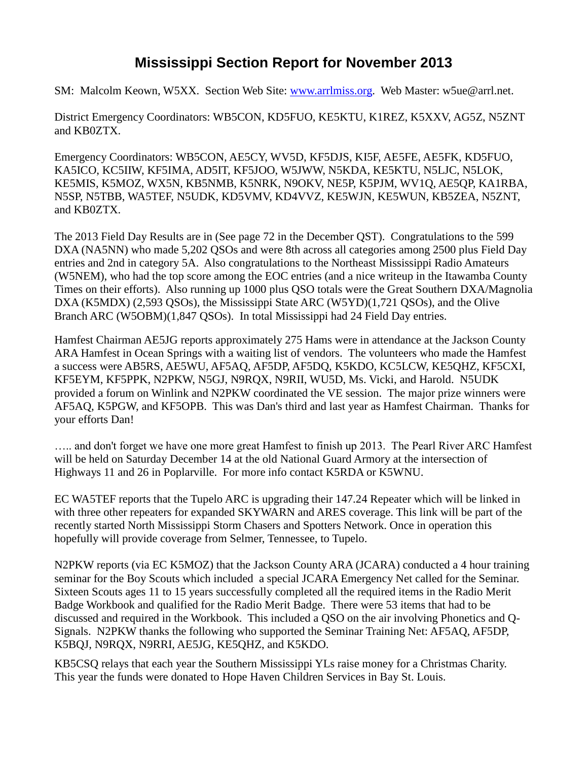## **Mississippi Section Report for November 2013**

SM: Malcolm Keown, W5XX. Section Web Site: [www.arrlmiss.org.](http://www.arrlmiss.org/) Web Master: w5ue@arrl.net.

District Emergency Coordinators: WB5CON, KD5FUO, KE5KTU, K1REZ, K5XXV, AG5Z, N5ZNT and KB0ZTX.

Emergency Coordinators: WB5CON, AE5CY, WV5D, KF5DJS, KI5F, AE5FE, AE5FK, KD5FUO, KA5ICO, KC5IIW, KF5IMA, AD5IT, KF5JOO, W5JWW, N5KDA, KE5KTU, N5LJC, N5LOK, KE5MIS, K5MOZ, WX5N, KB5NMB, K5NRK, N9OKV, NE5P, K5PJM, WV1Q, AE5QP, KA1RBA, N5SP, N5TBB, WA5TEF, N5UDK, KD5VMV, KD4VVZ, KE5WJN, KE5WUN, KB5ZEA, N5ZNT, and KB0ZTX.

The 2013 Field Day Results are in (See page 72 in the December QST). Congratulations to the 599 DXA (NA5NN) who made 5,202 QSOs and were 8th across all categories among 2500 plus Field Day entries and 2nd in category 5A. Also congratulations to the Northeast Mississippi Radio Amateurs (W5NEM), who had the top score among the EOC entries (and a nice writeup in the Itawamba County Times on their efforts). Also running up 1000 plus QSO totals were the Great Southern DXA/Magnolia DXA (K5MDX) (2,593 QSOs), the Mississippi State ARC (W5YD)(1,721 QSOs), and the Olive Branch ARC (W5OBM)(1,847 QSOs). In total Mississippi had 24 Field Day entries.

Hamfest Chairman AE5JG reports approximately 275 Hams were in attendance at the Jackson County ARA Hamfest in Ocean Springs with a waiting list of vendors. The volunteers who made the Hamfest a success were AB5RS, AE5WU, AF5AQ, AF5DP, AF5DQ, K5KDO, KC5LCW, KE5QHZ, KF5CXI, KF5EYM, KF5PPK, N2PKW, N5GJ, N9RQX, N9RII, WU5D, Ms. Vicki, and Harold. N5UDK provided a forum on Winlink and N2PKW coordinated the VE session. The major prize winners were AF5AQ, K5PGW, and KF5OPB. This was Dan's third and last year as Hamfest Chairman. Thanks for your efforts Dan!

….. and don't forget we have one more great Hamfest to finish up 2013. The Pearl River ARC Hamfest will be held on Saturday December 14 at the old National Guard Armory at the intersection of Highways 11 and 26 in Poplarville. For more info contact K5RDA or K5WNU.

EC WA5TEF reports that the Tupelo ARC is upgrading their 147.24 Repeater which will be linked in with three other repeaters for expanded SKYWARN and ARES coverage. This link will be part of the recently started North Mississippi Storm Chasers and Spotters Network. Once in operation this hopefully will provide coverage from Selmer, Tennessee, to Tupelo.

N2PKW reports (via EC K5MOZ) that the Jackson County ARA (JCARA) conducted a 4 hour training seminar for the Boy Scouts which included a special JCARA Emergency Net called for the Seminar. Sixteen Scouts ages 11 to 15 years successfully completed all the required items in the Radio Merit Badge Workbook and qualified for the Radio Merit Badge. There were 53 items that had to be discussed and required in the Workbook. This included a QSO on the air involving Phonetics and Q-Signals. N2PKW thanks the following who supported the Seminar Training Net: AF5AQ, AF5DP, K5BQJ, N9RQX, N9RRI, AE5JG, KE5QHZ, and K5KDO.

KB5CSQ relays that each year the Southern Mississippi YLs raise money for a Christmas Charity. This year the funds were donated to Hope Haven Children Services in Bay St. Louis.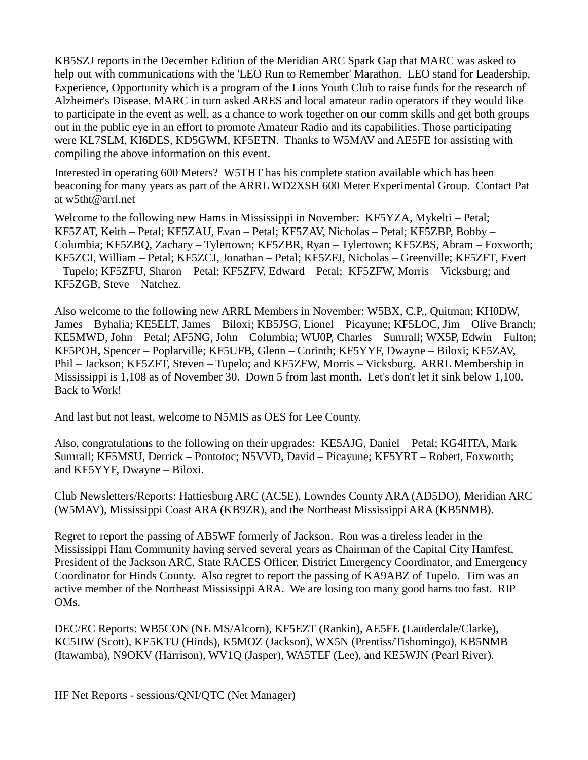KB5SZJ reports in the December Edition of the Meridian ARC Spark Gap that MARC was asked to help out with communications with the 'LEO Run to Remember' Marathon. LEO stand for Leadership, Experience, Opportunity which is a program of the Lions Youth Club to raise funds for the research of Alzheimer's Disease. MARC in turn asked ARES and local amateur radio operators if they would like to participate in the event as well, as a chance to work together on our comm skills and get both groups out in the public eye in an effort to promote Amateur Radio and its capabilities. Those participating were KL7SLM, KI6DES, KD5GWM, KF5ETN. Thanks to W5MAV and AE5FE for assisting with compiling the above information on this event.

Interested in operating 600 Meters? W5THT has his complete station available which has been beaconing for many years as part of the ARRL WD2XSH 600 Meter Experimental Group. Contact Pat at w5tht@arrl.net

Welcome to the following new Hams in Mississippi in November: KF5YZA, Mykelti – Petal; KF5ZAT, Keith – Petal; KF5ZAU, Evan – Petal; KF5ZAV, Nicholas – Petal; KF5ZBP, Bobby – Columbia; KF5ZBQ, Zachary – Tylertown; KF5ZBR, Ryan – Tylertown; KF5ZBS, Abram – Foxworth; KF5ZCI, William – Petal; KF5ZCJ, Jonathan – Petal; KF5ZFJ, Nicholas – Greenville; KF5ZFT, Evert – Tupelo; KF5ZFU, Sharon – Petal; KF5ZFV, Edward – Petal; KF5ZFW, Morris – Vicksburg; and KF5ZGB, Steve – Natchez.

Also welcome to the following new ARRL Members in November: W5BX, C.P., Quitman; KH0DW, James – Byhalia; KE5ELT, James – Biloxi; KB5JSG, Lionel – Picayune; KF5LOC, Jim – Olive Branch; KE5MWD, John – Petal; AF5NG, John – Columbia; WU0P, Charles – Sumrall; WX5P, Edwin – Fulton; KF5POH, Spencer – Poplarville; KF5UFB, Glenn – Corinth; KF5YYF, Dwayne – Biloxi; KF5ZAV, Phil – Jackson; KF5ZFT, Steven – Tupelo; and KF5ZFW, Morris – Vicksburg. ARRL Membership in Mississippi is 1,108 as of November 30. Down 5 from last month. Let's don't let it sink below 1,100. Back to Work!

And last but not least, welcome to N5MIS as OES for Lee County.

Also, congratulations to the following on their upgrades: KE5AJG, Daniel – Petal; KG4HTA, Mark – Sumrall; KF5MSU, Derrick – Pontotoc; N5VVD, David – Picayune; KF5YRT – Robert, Foxworth; and KF5YYF, Dwayne – Biloxi.

Club Newsletters/Reports: Hattiesburg ARC (AC5E), Lowndes County ARA (AD5DO), Meridian ARC (W5MAV), Mississippi Coast ARA (KB9ZR), and the Northeast Mississippi ARA (KB5NMB).

Regret to report the passing of AB5WF formerly of Jackson. Ron was a tireless leader in the Mississippi Ham Community having served several years as Chairman of the Capital City Hamfest, President of the Jackson ARC, State RACES Officer, District Emergency Coordinator, and Emergency Coordinator for Hinds County. Also regret to report the passing of KA9ABZ of Tupelo. Tim was an active member of the Northeast Mississippi ARA. We are losing too many good hams too fast. RIP OMs.

DEC/EC Reports: WB5CON (NE MS/Alcorn), KF5EZT (Rankin), AE5FE (Lauderdale/Clarke), KC5IIW (Scott), KE5KTU (Hinds), K5MOZ (Jackson), WX5N (Prentiss/Tishomingo), KB5NMB (Itawamba), N9OKV (Harrison), WV1Q (Jasper), WA5TEF (Lee), and KE5WJN (Pearl River).

HF Net Reports - sessions/QNI/QTC (Net Manager)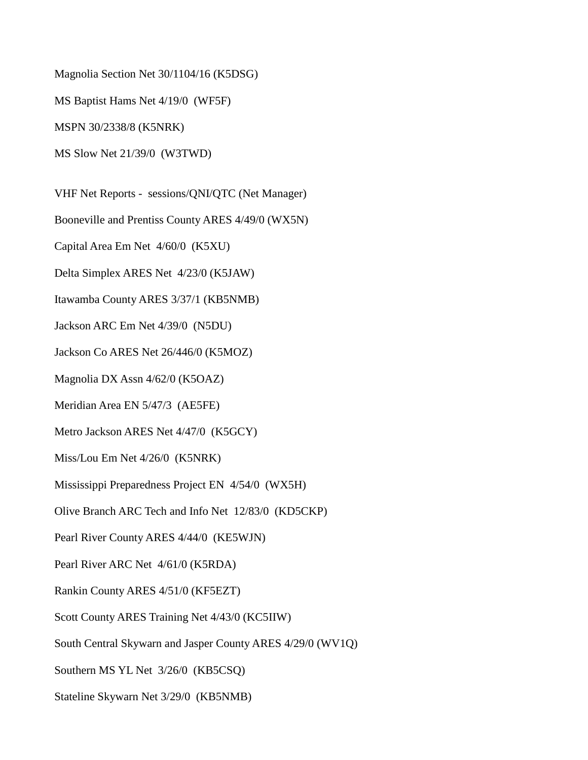Magnolia Section Net 30/1104/16 (K5DSG)

MS Baptist Hams Net 4/19/0 (WF5F)

MSPN 30/2338/8 (K5NRK)

MS Slow Net 21/39/0 (W3TWD)

VHF Net Reports - sessions/QNI/QTC (Net Manager)

Booneville and Prentiss County ARES 4/49/0 (WX5N)

Capital Area Em Net 4/60/0 (K5XU)

Delta Simplex ARES Net 4/23/0 (K5JAW)

Itawamba County ARES 3/37/1 (KB5NMB)

Jackson ARC Em Net 4/39/0 (N5DU)

Jackson Co ARES Net 26/446/0 (K5MOZ)

Magnolia DX Assn 4/62/0 (K5OAZ)

Meridian Area EN 5/47/3 (AE5FE)

Metro Jackson ARES Net 4/47/0 (K5GCY)

Miss/Lou Em Net 4/26/0 (K5NRK)

Mississippi Preparedness Project EN 4/54/0 (WX5H)

Olive Branch ARC Tech and Info Net 12/83/0 (KD5CKP)

Pearl River County ARES 4/44/0 (KE5WJN)

Pearl River ARC Net 4/61/0 (K5RDA)

Rankin County ARES 4/51/0 (KF5EZT)

Scott County ARES Training Net 4/43/0 (KC5IIW)

South Central Skywarn and Jasper County ARES 4/29/0 (WV1Q)

Southern MS YL Net 3/26/0 (KB5CSQ)

Stateline Skywarn Net 3/29/0 (KB5NMB)